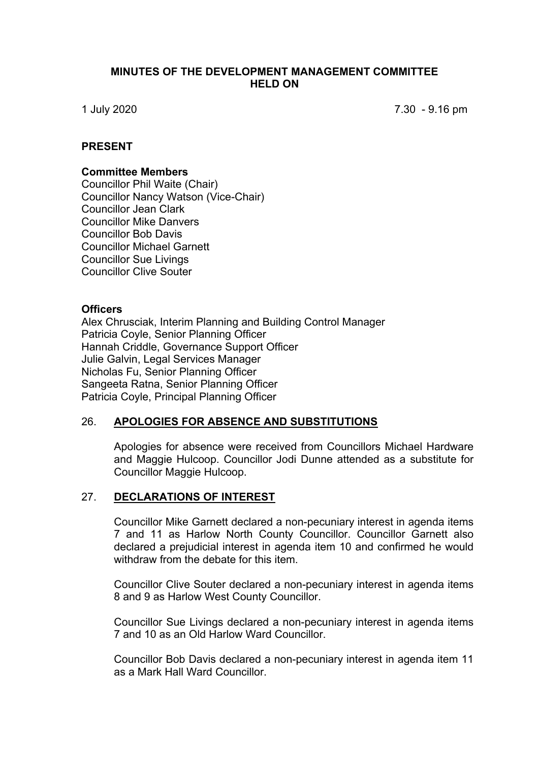### **MINUTES OF THE DEVELOPMENT MANAGEMENT COMMITTEE HELD ON**

1 July 2020 7.30 - 9.16 pm

## **PRESENT**

#### **Committee Members**

Councillor Phil Waite (Chair) Councillor Nancy Watson (Vice-Chair) Councillor Jean Clark Councillor Mike Danvers Councillor Bob Davis Councillor Michael Garnett Councillor Sue Livings Councillor Clive Souter

#### **Officers**

Alex Chrusciak, Interim Planning and Building Control Manager Patricia Coyle, Senior Planning Officer Hannah Criddle, Governance Support Officer Julie Galvin, Legal Services Manager Nicholas Fu, Senior Planning Officer Sangeeta Ratna, Senior Planning Officer Patricia Coyle, Principal Planning Officer

#### 26. **APOLOGIES FOR ABSENCE AND SUBSTITUTIONS**

Apologies for absence were received from Councillors Michael Hardware and Maggie Hulcoop. Councillor Jodi Dunne attended as a substitute for Councillor Maggie Hulcoop.

#### 27. **DECLARATIONS OF INTEREST**

Councillor Mike Garnett declared a non-pecuniary interest in agenda items 7 and 11 as Harlow North County Councillor. Councillor Garnett also declared a prejudicial interest in agenda item 10 and confirmed he would withdraw from the debate for this item.

Councillor Clive Souter declared a non-pecuniary interest in agenda items 8 and 9 as Harlow West County Councillor.

Councillor Sue Livings declared a non-pecuniary interest in agenda items 7 and 10 as an Old Harlow Ward Councillor.

Councillor Bob Davis declared a non-pecuniary interest in agenda item 11 as a Mark Hall Ward Councillor.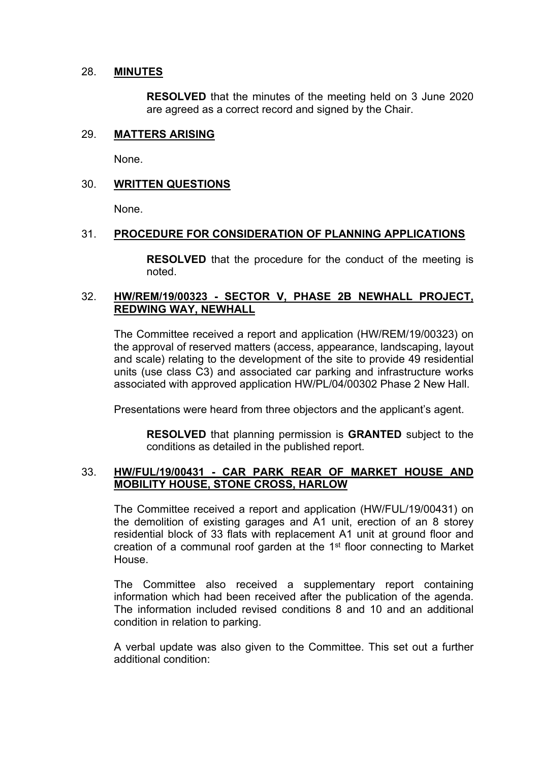## 28. **MINUTES**

**RESOLVED** that the minutes of the meeting held on 3 June 2020 are agreed as a correct record and signed by the Chair.

# 29. **MATTERS ARISING**

None.

## 30. **WRITTEN QUESTIONS**

None.

## 31. **PROCEDURE FOR CONSIDERATION OF PLANNING APPLICATIONS**

**RESOLVED** that the procedure for the conduct of the meeting is noted.

# 32. **HW/REM/19/00323 - SECTOR V, PHASE 2B NEWHALL PROJECT, REDWING WAY, NEWHALL**

The Committee received a report and application (HW/REM/19/00323) on the approval of reserved matters (access, appearance, landscaping, layout and scale) relating to the development of the site to provide 49 residential units (use class C3) and associated car parking and infrastructure works associated with approved application HW/PL/04/00302 Phase 2 New Hall.

Presentations were heard from three objectors and the applicant's agent.

**RESOLVED** that planning permission is **GRANTED** subject to the conditions as detailed in the published report.

## 33. **HW/FUL/19/00431 - CAR PARK REAR OF MARKET HOUSE AND MOBILITY HOUSE, STONE CROSS, HARLOW**

The Committee received a report and application (HW/FUL/19/00431) on the demolition of existing garages and A1 unit, erection of an 8 storey residential block of 33 flats with replacement A1 unit at ground floor and creation of a communal roof garden at the 1<sup>st</sup> floor connecting to Market House.

The Committee also received a supplementary report containing information which had been received after the publication of the agenda. The information included revised conditions 8 and 10 and an additional condition in relation to parking.

A verbal update was also given to the Committee. This set out a further additional condition: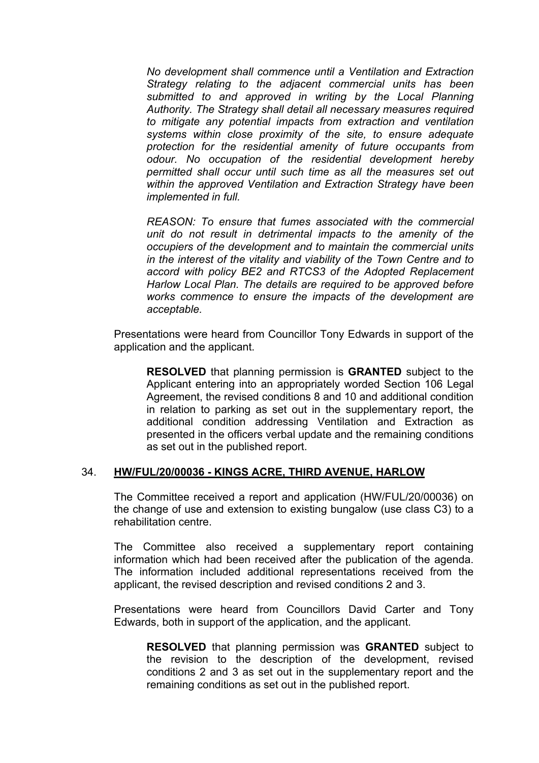*No development shall commence until a Ventilation and Extraction Strategy relating to the adjacent commercial units has been submitted to and approved in writing by the Local Planning Authority. The Strategy shall detail all necessary measures required to mitigate any potential impacts from extraction and ventilation systems within close proximity of the site, to ensure adequate protection for the residential amenity of future occupants from odour. No occupation of the residential development hereby permitted shall occur until such time as all the measures set out within the approved Ventilation and Extraction Strategy have been implemented in full.*

*REASON: To ensure that fumes associated with the commercial unit do not result in detrimental impacts to the amenity of the occupiers of the development and to maintain the commercial units in the interest of the vitality and viability of the Town Centre and to accord with policy BE2 and RTCS3 of the Adopted Replacement Harlow Local Plan. The details are required to be approved before works commence to ensure the impacts of the development are acceptable.*

Presentations were heard from Councillor Tony Edwards in support of the application and the applicant.

**RESOLVED** that planning permission is **GRANTED** subject to the Applicant entering into an appropriately worded Section 106 Legal Agreement, the revised conditions 8 and 10 and additional condition in relation to parking as set out in the supplementary report, the additional condition addressing Ventilation and Extraction as presented in the officers verbal update and the remaining conditions as set out in the published report.

# 34. **HW/FUL/20/00036 - KINGS ACRE, THIRD AVENUE, HARLOW**

The Committee received a report and application (HW/FUL/20/00036) on the change of use and extension to existing bungalow (use class C3) to a rehabilitation centre.

The Committee also received a supplementary report containing information which had been received after the publication of the agenda. The information included additional representations received from the applicant, the revised description and revised conditions 2 and 3.

Presentations were heard from Councillors David Carter and Tony Edwards, both in support of the application, and the applicant.

**RESOLVED** that planning permission was **GRANTED** subject to the revision to the description of the development, revised conditions 2 and 3 as set out in the supplementary report and the remaining conditions as set out in the published report.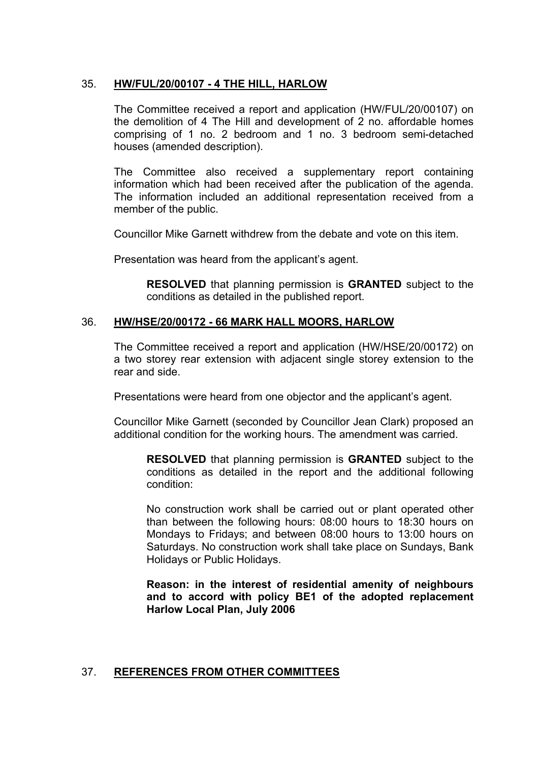# 35. **HW/FUL/20/00107 - 4 THE HILL, HARLOW**

The Committee received a report and application (HW/FUL/20/00107) on the demolition of 4 The Hill and development of 2 no. affordable homes comprising of 1 no. 2 bedroom and 1 no. 3 bedroom semi-detached houses (amended description).

The Committee also received a supplementary report containing information which had been received after the publication of the agenda. The information included an additional representation received from a member of the public.

Councillor Mike Garnett withdrew from the debate and vote on this item.

Presentation was heard from the applicant's agent.

**RESOLVED** that planning permission is **GRANTED** subject to the conditions as detailed in the published report.

## 36. **HW/HSE/20/00172 - 66 MARK HALL MOORS, HARLOW**

The Committee received a report and application (HW/HSE/20/00172) on a two storey rear extension with adjacent single storey extension to the rear and side.

Presentations were heard from one objector and the applicant's agent.

Councillor Mike Garnett (seconded by Councillor Jean Clark) proposed an additional condition for the working hours. The amendment was carried.

**RESOLVED** that planning permission is **GRANTED** subject to the conditions as detailed in the report and the additional following condition:

No construction work shall be carried out or plant operated other than between the following hours: 08:00 hours to 18:30 hours on Mondays to Fridays; and between 08:00 hours to 13:00 hours on Saturdays. No construction work shall take place on Sundays, Bank Holidays or Public Holidays.

**Reason: in the interest of residential amenity of neighbours and to accord with policy BE1 of the adopted replacement Harlow Local Plan, July 2006**

#### 37. **REFERENCES FROM OTHER COMMITTEES**